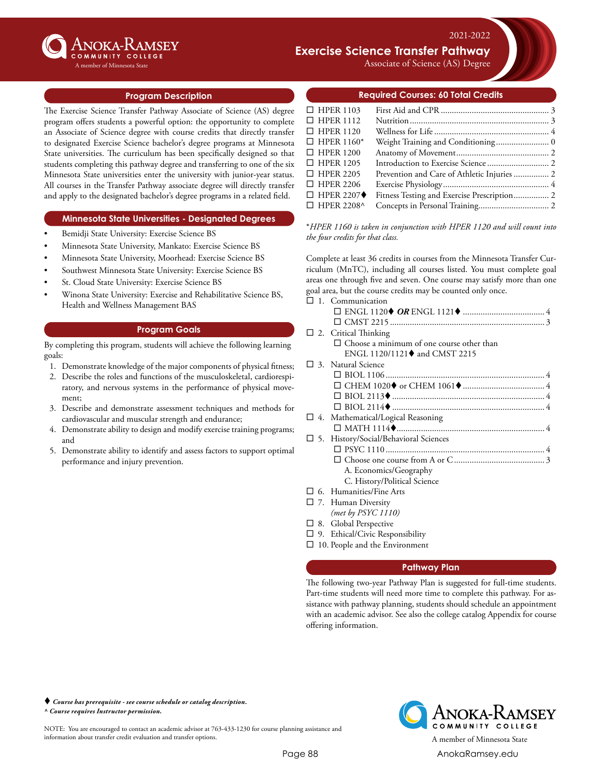

#### mber of Minnesota State

# **Exercise Science Transfer Pathway**

Associate of Science (AS) Degree

2021-2022

#### **Program Description**

The Exercise Science Transfer Pathway Associate of Science (AS) degree program offers students a powerful option: the opportunity to complete an Associate of Science degree with course credits that directly transfer to designated Exercise Science bachelor's degree programs at Minnesota State universities. The curriculum has been specifically designed so that students completing this pathway degree and transferring to one of the six Minnesota State universities enter the university with junior-year status. All courses in the Transfer Pathway associate degree will directly transfer and apply to the designated bachelor's degree programs in a related field.

#### **Minnesota State Universities - Designated Degrees**

- Bemidji State University: Exercise Science BS
- Minnesota State University, Mankato: Exercise Science BS
- Minnesota State University, Moorhead: Exercise Science BS
- Southwest Minnesota State University: Exercise Science BS
- St. Cloud State University: Exercise Science BS
- Winona State University: Exercise and Rehabilitative Science BS, Health and Wellness Management BAS

### **Program Goals**

By completing this program, students will achieve the following learning goals:

- 1. Demonstrate knowledge of the major components of physical fitness;
- 2. Describe the roles and functions of the musculoskeletal, cardiorespiratory, and nervous systems in the performance of physical movement;
- 3. Describe and demonstrate assessment techniques and methods for cardiovascular and muscular strength and endurance;
- 4. Demonstrate ability to design and modify exercise training programs; and
- 5. Demonstrate ability to identify and assess factors to support optimal performance and injury prevention.

### **Required Courses: 60 Total Credits**

| $\Box$ HPER 1103                 |                                             |  |
|----------------------------------|---------------------------------------------|--|
| $\Box$ HPER 1112                 |                                             |  |
| $\Box$ HPER 1120                 |                                             |  |
| $\Box$ HPER 1160*                |                                             |  |
| $\Box$ HPER 1200                 |                                             |  |
| $\Box$ HPER 1205                 |                                             |  |
| $\Box$ HPER 2205                 | Prevention and Care of Athletic Injuries  2 |  |
| $\Box$ HPER 2206                 |                                             |  |
| $\Box$ HPER 2207 $\blacklozenge$ | Fitness Testing and Exercise Prescription 2 |  |
| $\Box$ HPER 2208^                |                                             |  |
|                                  |                                             |  |

\**HPER 1160 is taken in conjunction with HPER 1120 and will count into the four credits for that class.*

Complete at least 36 credits in courses from the Minnesota Transfer Curriculum (MnTC), including all courses listed. You must complete goal areas one through five and seven. One course may satisfy more than one goal area, but the course credits may be counted only once.

| $\Box$ 1. Communication                          |
|--------------------------------------------------|
|                                                  |
|                                                  |
| $\Box$ 2. Critical Thinking                      |
| $\Box$ Choose a minimum of one course other than |
| ENGL 1120/1121♦ and CMST 2215                    |
| $\square$ 3. Natural Science                     |
|                                                  |
|                                                  |
|                                                  |
|                                                  |
| $\Box$ 4. Mathematical/Logical Reasoning         |
|                                                  |
| □ 5. History/Social/Behavioral Sciences          |
|                                                  |
|                                                  |
| A. Economics/Geography                           |
| C. History/Political Science                     |
| $\Box$ 6. Humanities/Fine Arts                   |
| $\Box$ 7. Human Diversity                        |
| (met by $PSYC$ 1110)                             |
|                                                  |

- $\square$  8. Global Perspective
- $\square$  9. Ethical/Civic Responsibility
- $\square$  10. People and the Environment

### **Pathway Plan**

The following two-year Pathway Plan is suggested for full-time students. Part-time students will need more time to complete this pathway. For assistance with pathway planning, students should schedule an appointment with an academic advisor. See also the college catalog Appendix for course offering information.

 *Course has prerequisite - see course schedule or catalog description. ^ Course requires Instructor permission.*

NOTE: You are encouraged to contact an academic advisor at 763-433-1230 for course planning assistance and information about transfer credit evaluation and transfer options. A member of Minnesota State